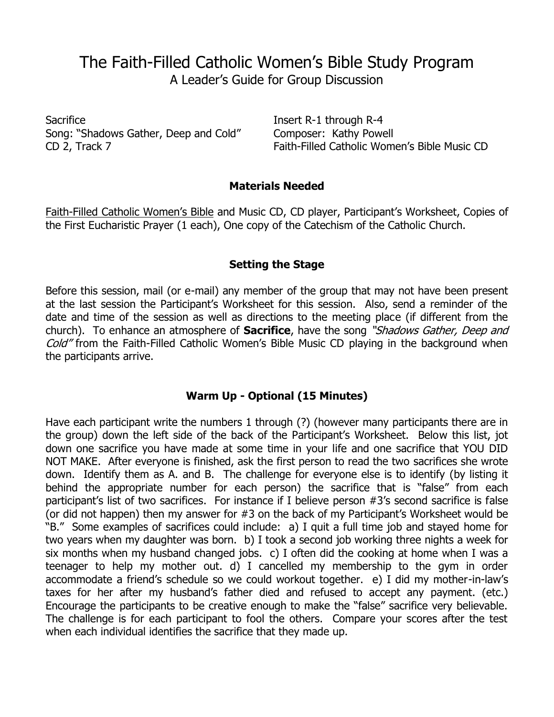# The Faith-Filled Catholic Women's Bible Study Program A Leader's Guide for Group Discussion

Sacrifice Insert R-1 through R-4 Song: "Shadows Gather, Deep and Cold" Composer: Kathy Powell

CD 2, Track 7 Faith-Filled Catholic Women's Bible Music CD

#### **Materials Needed**

Faith-Filled Catholic Women's Bible and Music CD, CD player, Participant's Worksheet, Copies of the First Eucharistic Prayer (1 each), One copy of the Catechism of the Catholic Church.

#### **Setting the Stage**

Before this session, mail (or e-mail) any member of the group that may not have been present at the last session the Participant's Worksheet for this session. Also, send a reminder of the date and time of the session as well as directions to the meeting place (if different from the church). To enhance an atmosphere of **Sacrifice**, have the song "Shadows Gather, Deep and Cold" from the Faith-Filled Catholic Women's Bible Music CD playing in the background when the participants arrive.

### **Warm Up - Optional (15 Minutes)**

Have each participant write the numbers 1 through (?) (however many participants there are in the group) down the left side of the back of the Participant's Worksheet. Below this list, jot down one sacrifice you have made at some time in your life and one sacrifice that YOU DID NOT MAKE. After everyone is finished, ask the first person to read the two sacrifices she wrote down. Identify them as A. and B. The challenge for everyone else is to identify (by listing it behind the appropriate number for each person) the sacrifice that is "false" from each participant's list of two sacrifices. For instance if I believe person #3's second sacrifice is false (or did not happen) then my answer for #3 on the back of my Participant's Worksheet would be "B." Some examples of sacrifices could include: a) I quit a full time job and stayed home for two years when my daughter was born. b) I took a second job working three nights a week for six months when my husband changed jobs. c) I often did the cooking at home when I was a teenager to help my mother out. d) I cancelled my membership to the gym in order accommodate a friend's schedule so we could workout together. e) I did my mother-in-law's taxes for her after my husband's father died and refused to accept any payment. (etc.) Encourage the participants to be creative enough to make the "false" sacrifice very believable. The challenge is for each participant to fool the others. Compare your scores after the test when each individual identifies the sacrifice that they made up.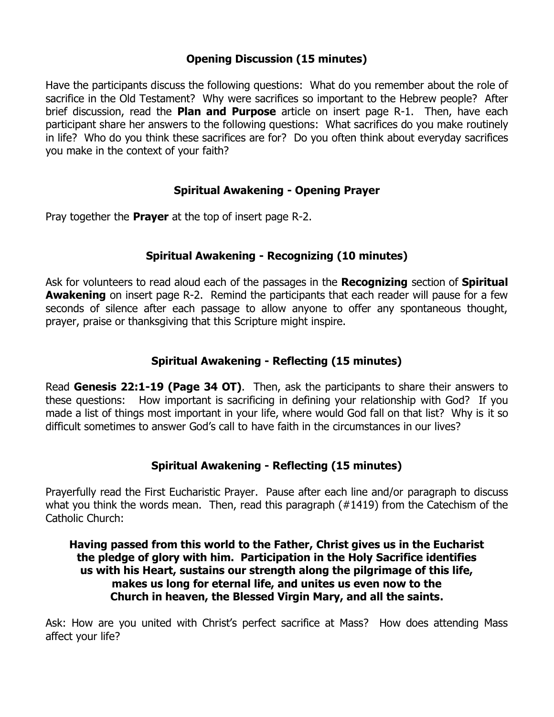# **Opening Discussion (15 minutes)**

Have the participants discuss the following questions: What do you remember about the role of sacrifice in the Old Testament? Why were sacrifices so important to the Hebrew people? After brief discussion, read the **Plan and Purpose** article on insert page R-1. Then, have each participant share her answers to the following questions: What sacrifices do you make routinely in life? Who do you think these sacrifices are for? Do you often think about everyday sacrifices you make in the context of your faith?

### **Spiritual Awakening - Opening Prayer**

Pray together the **Prayer** at the top of insert page R-2.

### **Spiritual Awakening - Recognizing (10 minutes)**

Ask for volunteers to read aloud each of the passages in the **Recognizing** section of **Spiritual Awakening** on insert page R-2. Remind the participants that each reader will pause for a few seconds of silence after each passage to allow anyone to offer any spontaneous thought, prayer, praise or thanksgiving that this Scripture might inspire.

# **Spiritual Awakening - Reflecting (15 minutes)**

Read **Genesis 22:1-19 (Page 34 OT)**. Then, ask the participants to share their answers to these questions: How important is sacrificing in defining your relationship with God? If you made a list of things most important in your life, where would God fall on that list? Why is it so difficult sometimes to answer God's call to have faith in the circumstances in our lives?

# **Spiritual Awakening - Reflecting (15 minutes)**

Prayerfully read the First Eucharistic Prayer. Pause after each line and/or paragraph to discuss what you think the words mean. Then, read this paragraph (#1419) from the Catechism of the Catholic Church:

#### **Having passed from this world to the Father, Christ gives us in the Eucharist the pledge of glory with him. Participation in the Holy Sacrifice identifies us with his Heart, sustains our strength along the pilgrimage of this life, makes us long for eternal life, and unites us even now to the Church in heaven, the Blessed Virgin Mary, and all the saints.**

Ask: How are you united with Christ's perfect sacrifice at Mass? How does attending Mass affect your life?